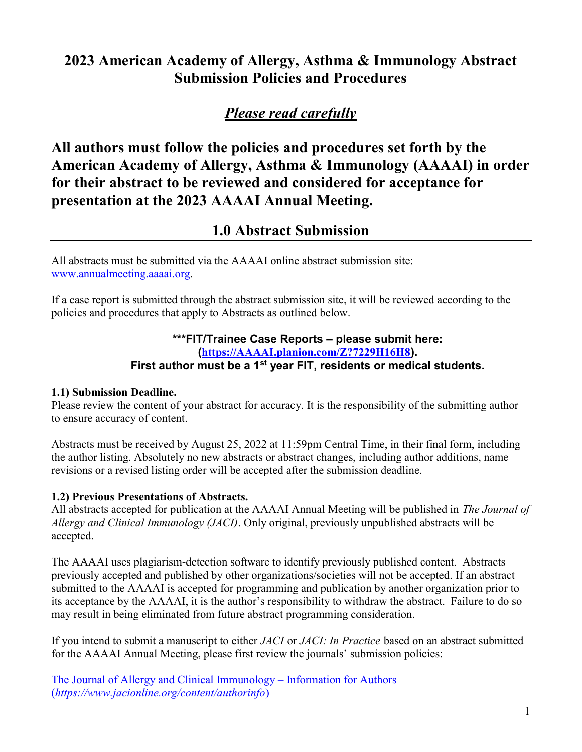# 2023 American Academy of Allergy, Asthma & Immunology Abstract Submission Policies and Procedures

# Please read carefully

All authors must follow the policies and procedures set forth by the American Academy of Allergy, Asthma & Immunology (AAAAI) in order for their abstract to be reviewed and considered for acceptance for presentation at the 2023 AAAAI Annual Meeting.

## 1.0 Abstract Submission

All abstracts must be submitted via the AAAAI online abstract submission site: www.annualmeeting.aaaai.org.

If a case report is submitted through the abstract submission site, it will be reviewed according to the policies and procedures that apply to Abstracts as outlined below.

#### \*\*\*FIT/Trainee Case Reports – please submit here: (https://AAAAI.planion.com/Z?7229H16H8). First author must be a 1<sup>st</sup> year FIT, residents or medical students.

#### 1.1) Submission Deadline.

Please review the content of your abstract for accuracy. It is the responsibility of the submitting author to ensure accuracy of content.

Abstracts must be received by August 25, 2022 at 11:59pm Central Time, in their final form, including the author listing. Absolutely no new abstracts or abstract changes, including author additions, name revisions or a revised listing order will be accepted after the submission deadline.

## 1.2) Previous Presentations of Abstracts.

All abstracts accepted for publication at the AAAAI Annual Meeting will be published in The Journal of Allergy and Clinical Immunology (JACI). Only original, previously unpublished abstracts will be accepted.

The AAAAI uses plagiarism-detection software to identify previously published content. Abstracts previously accepted and published by other organizations/societies will not be accepted. If an abstract submitted to the AAAAI is accepted for programming and publication by another organization prior to its acceptance by the AAAAI, it is the author's responsibility to withdraw the abstract. Failure to do so may result in being eliminated from future abstract programming consideration.

If you intend to submit a manuscript to either JACI or JACI: In Practice based on an abstract submitted for the AAAAI Annual Meeting, please first review the journals' submission policies:

The Journal of Allergy and Clinical Immunology – Information for Authors (https://www.jacionline.org/content/authorinfo)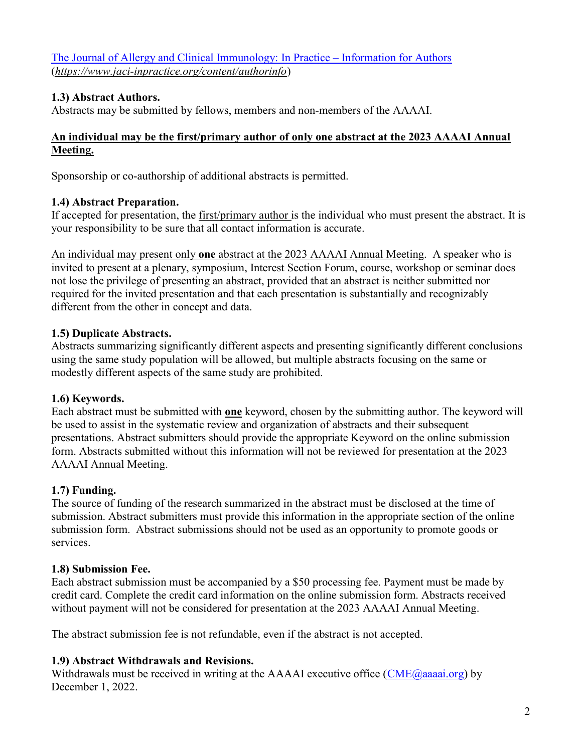The Journal of Allergy and Clinical Immunology: In Practice – Information for Authors (https://www.jaci-inpractice.org/content/authorinfo)

## 1.3) Abstract Authors.

Abstracts may be submitted by fellows, members and non-members of the AAAAI.

#### An individual may be the first/primary author of only one abstract at the 2023 AAAAI Annual Meeting.

Sponsorship or co-authorship of additional abstracts is permitted.

### 1.4) Abstract Preparation.

If accepted for presentation, the first/primary author is the individual who must present the abstract. It is your responsibility to be sure that all contact information is accurate.

An individual may present only one abstract at the 2023 AAAAI Annual Meeting. A speaker who is invited to present at a plenary, symposium, Interest Section Forum, course, workshop or seminar does not lose the privilege of presenting an abstract, provided that an abstract is neither submitted nor required for the invited presentation and that each presentation is substantially and recognizably different from the other in concept and data.

### 1.5) Duplicate Abstracts.

Abstracts summarizing significantly different aspects and presenting significantly different conclusions using the same study population will be allowed, but multiple abstracts focusing on the same or modestly different aspects of the same study are prohibited.

## 1.6) Keywords.

Each abstract must be submitted with one keyword, chosen by the submitting author. The keyword will be used to assist in the systematic review and organization of abstracts and their subsequent presentations. Abstract submitters should provide the appropriate Keyword on the online submission form. Abstracts submitted without this information will not be reviewed for presentation at the 2023 AAAAI Annual Meeting.

## 1.7) Funding.

The source of funding of the research summarized in the abstract must be disclosed at the time of submission. Abstract submitters must provide this information in the appropriate section of the online submission form. Abstract submissions should not be used as an opportunity to promote goods or services.

#### 1.8) Submission Fee.

Each abstract submission must be accompanied by a \$50 processing fee. Payment must be made by credit card. Complete the credit card information on the online submission form. Abstracts received without payment will not be considered for presentation at the 2023 AAAAI Annual Meeting.

The abstract submission fee is not refundable, even if the abstract is not accepted.

## 1.9) Abstract Withdrawals and Revisions.

Withdrawals must be received in writing at the AAAAI executive office  $(CME@aaaaia.org)$  by December 1, 2022.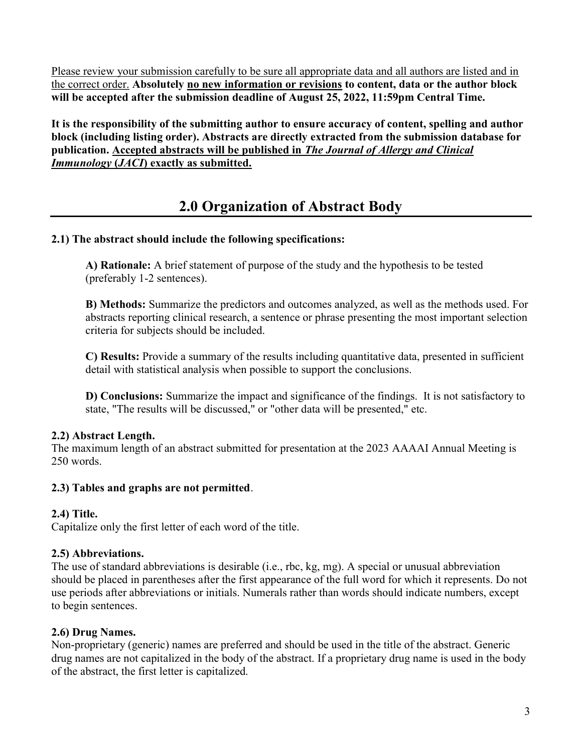Please review your submission carefully to be sure all appropriate data and all authors are listed and in the correct order. Absolutely no new information or revisions to content, data or the author block will be accepted after the submission deadline of August 25, 2022, 11:59pm Central Time.

It is the responsibility of the submitting author to ensure accuracy of content, spelling and author block (including listing order). Abstracts are directly extracted from the submission database for publication. Accepted abstracts will be published in The Journal of Allergy and Clinical Immunology (JACI) exactly as submitted.

# 2.0 Organization of Abstract Body

#### 2.1) The abstract should include the following specifications:

A) Rationale: A brief statement of purpose of the study and the hypothesis to be tested (preferably 1-2 sentences).

B) Methods: Summarize the predictors and outcomes analyzed, as well as the methods used. For abstracts reporting clinical research, a sentence or phrase presenting the most important selection criteria for subjects should be included.

C) Results: Provide a summary of the results including quantitative data, presented in sufficient detail with statistical analysis when possible to support the conclusions.

D) Conclusions: Summarize the impact and significance of the findings. It is not satisfactory to state, "The results will be discussed," or "other data will be presented," etc.

#### 2.2) Abstract Length.

The maximum length of an abstract submitted for presentation at the 2023 AAAAI Annual Meeting is 250 words.

#### 2.3) Tables and graphs are not permitted.

#### 2.4) Title.

Capitalize only the first letter of each word of the title.

## 2.5) Abbreviations.

The use of standard abbreviations is desirable (i.e., rbc, kg, mg). A special or unusual abbreviation should be placed in parentheses after the first appearance of the full word for which it represents. Do not use periods after abbreviations or initials. Numerals rather than words should indicate numbers, except to begin sentences.

## 2.6) Drug Names.

Non-proprietary (generic) names are preferred and should be used in the title of the abstract. Generic drug names are not capitalized in the body of the abstract. If a proprietary drug name is used in the body of the abstract, the first letter is capitalized.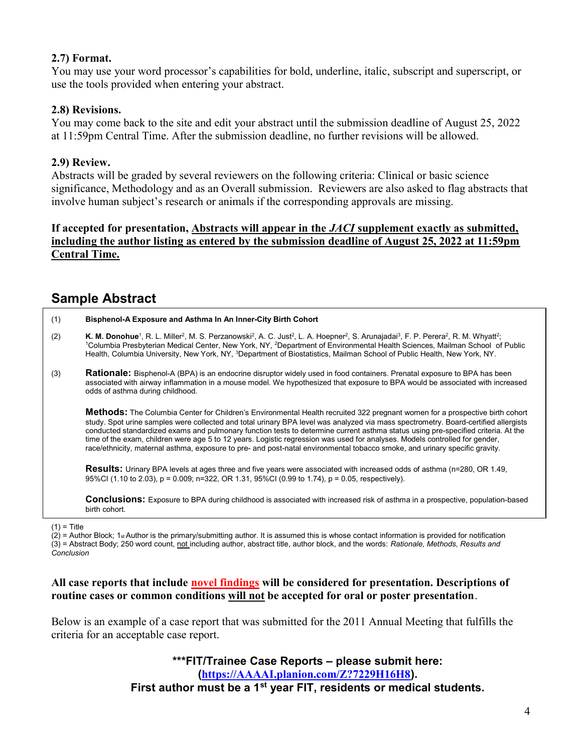#### 2.7) Format.

You may use your word processor's capabilities for bold, underline, italic, subscript and superscript, or use the tools provided when entering your abstract.

## 2.8) Revisions.

You may come back to the site and edit your abstract until the submission deadline of August 25, 2022 at 11:59pm Central Time. After the submission deadline, no further revisions will be allowed.

#### 2.9) Review.

Abstracts will be graded by several reviewers on the following criteria: Clinical or basic science significance, Methodology and as an Overall submission. Reviewers are also asked to flag abstracts that involve human subject's research or animals if the corresponding approvals are missing.

### If accepted for presentation, Abstracts will appear in the JACI supplement exactly as submitted, including the author listing as entered by the submission deadline of August 25, 2022 at 11:59pm Central Time.

## Sample Abstract

| (1) | Bisphenol-A Exposure and Asthma In An Inner-City Birth Cohort                                                                                                                                                                                                                                                                                                                                                                                                                                                                       |
|-----|-------------------------------------------------------------------------------------------------------------------------------------------------------------------------------------------------------------------------------------------------------------------------------------------------------------------------------------------------------------------------------------------------------------------------------------------------------------------------------------------------------------------------------------|
| (2) | K. M. Donohue <sup>1</sup> , R. L. Miller <sup>2</sup> , M. S. Perzanowski <sup>2</sup> , A. C. Just <sup>2</sup> , L. A. Hoepner <sup>2</sup> , S. Arunajadai <sup>3</sup> , F. P. Perera <sup>2</sup> , R. M. Whyatt <sup>2</sup> ;<br><sup>1</sup> Columbia Presbyterian Medical Center, New York, NY, <sup>2</sup> Department of Environmental Health Sciences, Mailman School of Public<br>Health, Columbia University, New York, NY, <sup>3</sup> Department of Biostatistics, Mailman School of Public Health, New York, NY. |

(3) Rationale: Bisphenol-A (BPA) is an endocrine disruptor widely used in food containers. Prenatal exposure to BPA has been associated with airway inflammation in a mouse model. We hypothesized that exposure to BPA would be associated with increased odds of asthma during childhood.

Methods: The Columbia Center for Children's Environmental Health recruited 322 pregnant women for a prospective birth cohort study. Spot urine samples were collected and total urinary BPA level was analyzed via mass spectrometry. Board-certified allergists conducted standardized exams and pulmonary function tests to determine current asthma status using pre-specified criteria. At the time of the exam, children were age 5 to 12 years. Logistic regression was used for analyses. Models controlled for gender, race/ethnicity, maternal asthma, exposure to pre- and post-natal environmental tobacco smoke, and urinary specific gravity.

Results: Urinary BPA levels at ages three and five years were associated with increased odds of asthma (n=280, OR 1.49, 95%CI (1.10 to 2.03), p = 0.009; n=322, OR 1.31, 95%CI (0.99 to 1.74), p = 0.05, respectively).

Conclusions: Exposure to BPA during childhood is associated with increased risk of asthma in a prospective, population-based birth cohort.

 $(1)$  = Title

 $(2)$  = Author Block; 1st Author is the primary/submitting author. It is assumed this is whose contact information is provided for notification (3) = Abstract Body; 250 word count, not including author, abstract title, author block, and the words: Rationale, Methods, Results and Conclusion

#### All case reports that include novel findings will be considered for presentation. Descriptions of routine cases or common conditions will not be accepted for oral or poster presentation.

Below is an example of a case report that was submitted for the 2011 Annual Meeting that fulfills the criteria for an acceptable case report.

> \*\*\*FIT/Trainee Case Reports – please submit here: (https://AAAAI.planion.com/Z?7229H16H8). First author must be a 1<sup>st</sup> year FIT, residents or medical students.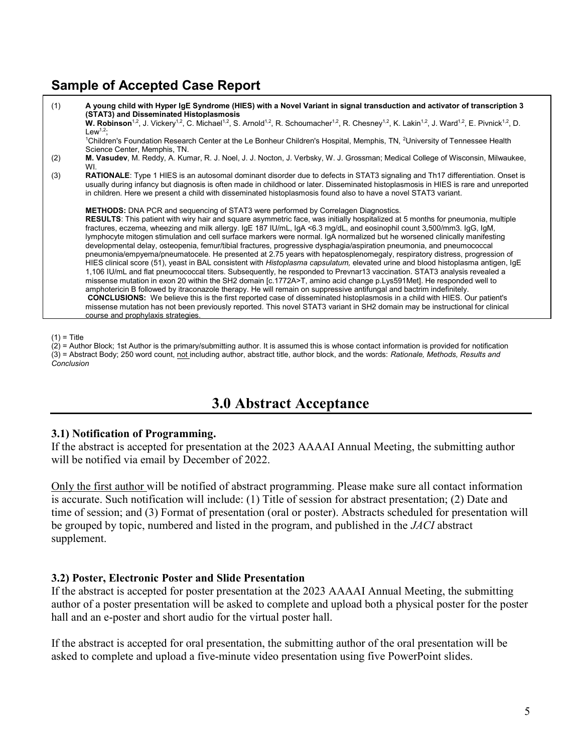## Sample of Accepted Case Report



 $(1)$  = Title

 $(2)$  = Author Block; 1st Author is the primary/submitting author. It is assumed this is whose contact information is provided for notification (3) = Abstract Body; 250 word count, not including author, abstract title, author block, and the words: Rationale, Methods, Results and Conclusion

# 3.0 Abstract Acceptance

#### 3.1) Notification of Programming.

If the abstract is accepted for presentation at the 2023 AAAAI Annual Meeting, the submitting author will be notified via email by December of 2022.

Only the first author will be notified of abstract programming. Please make sure all contact information is accurate. Such notification will include: (1) Title of session for abstract presentation; (2) Date and time of session; and (3) Format of presentation (oral or poster). Abstracts scheduled for presentation will be grouped by topic, numbered and listed in the program, and published in the JACI abstract supplement.

#### 3.2) Poster, Electronic Poster and Slide Presentation

If the abstract is accepted for poster presentation at the 2023 AAAAI Annual Meeting, the submitting author of a poster presentation will be asked to complete and upload both a physical poster for the poster hall and an e-poster and short audio for the virtual poster hall.

If the abstract is accepted for oral presentation, the submitting author of the oral presentation will be asked to complete and upload a five-minute video presentation using five PowerPoint slides.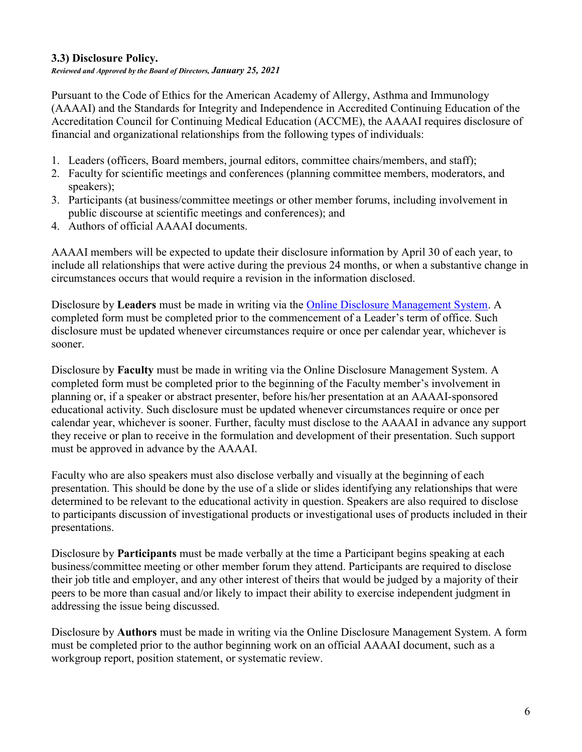## 3.3) Disclosure Policy.

Reviewed and Approved by the Board of Directors, January 25, 2021

Pursuant to the Code of Ethics for the American Academy of Allergy, Asthma and Immunology (AAAAI) and the Standards for Integrity and Independence in Accredited Continuing Education of the Accreditation Council for Continuing Medical Education (ACCME), the AAAAI requires disclosure of financial and organizational relationships from the following types of individuals:

- 1. Leaders (officers, Board members, journal editors, committee chairs/members, and staff);
- 2. Faculty for scientific meetings and conferences (planning committee members, moderators, and speakers);
- 3. Participants (at business/committee meetings or other member forums, including involvement in public discourse at scientific meetings and conferences); and
- 4. Authors of official AAAAI documents.

AAAAI members will be expected to update their disclosure information by April 30 of each year, to include all relationships that were active during the previous 24 months, or when a substantive change in circumstances occurs that would require a revision in the information disclosed.

Disclosure by Leaders must be made in writing via the Online Disclosure Management System. A completed form must be completed prior to the commencement of a Leader's term of office. Such disclosure must be updated whenever circumstances require or once per calendar year, whichever is sooner.

Disclosure by Faculty must be made in writing via the Online Disclosure Management System. A completed form must be completed prior to the beginning of the Faculty member's involvement in planning or, if a speaker or abstract presenter, before his/her presentation at an AAAAI-sponsored educational activity. Such disclosure must be updated whenever circumstances require or once per calendar year, whichever is sooner. Further, faculty must disclose to the AAAAI in advance any support they receive or plan to receive in the formulation and development of their presentation. Such support must be approved in advance by the AAAAI.

Faculty who are also speakers must also disclose verbally and visually at the beginning of each presentation. This should be done by the use of a slide or slides identifying any relationships that were determined to be relevant to the educational activity in question. Speakers are also required to disclose to participants discussion of investigational products or investigational uses of products included in their presentations.

Disclosure by **Participants** must be made verbally at the time a Participant begins speaking at each business/committee meeting or other member forum they attend. Participants are required to disclose their job title and employer, and any other interest of theirs that would be judged by a majority of their peers to be more than casual and/or likely to impact their ability to exercise independent judgment in addressing the issue being discussed.

Disclosure by Authors must be made in writing via the Online Disclosure Management System. A form must be completed prior to the author beginning work on an official AAAAI document, such as a workgroup report, position statement, or systematic review.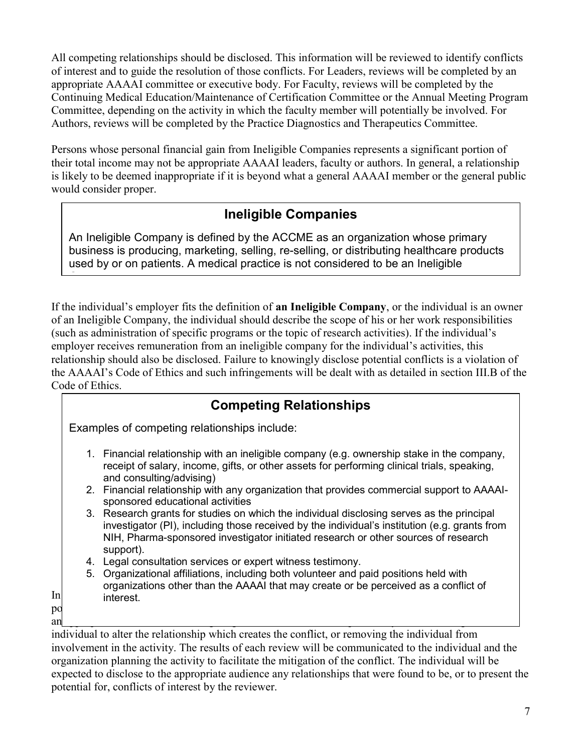All competing relationships should be disclosed. This information will be reviewed to identify conflicts of interest and to guide the resolution of those conflicts. For Leaders, reviews will be completed by an appropriate AAAAI committee or executive body. For Faculty, reviews will be completed by the Continuing Medical Education/Maintenance of Certification Committee or the Annual Meeting Program Committee, depending on the activity in which the faculty member will potentially be involved. For Authors, reviews will be completed by the Practice Diagnostics and Therapeutics Committee.

Persons whose personal financial gain from Ineligible Companies represents a significant portion of their total income may not be appropriate AAAAI leaders, faculty or authors. In general, a relationship is likely to be deemed inappropriate if it is beyond what a general AAAAI member or the general public would consider proper.

# Ineligible Companies

An Ineligible Company is defined by the ACCME as an organization whose primary business is producing, marketing, selling, re-selling, or distributing healthcare products used by or on patients. A medical practice is not considered to be an Ineligible

<u>Company.</u>

If the individual's employer fits the definition of an Ineligible Company, or the individual is an owner of an Ineligible Company, the individual should describe the scope of his or her work responsibilities (such as administration of specific programs or the topic of research activities). If the individual's employer receives remuneration from an ineligible company for the individual's activities, this relationship should also be disclosed. Failure to knowingly disclose potential conflicts is a violation of the AAAAI's Code of Ethics and such infringements will be dealt with as detailed in section III.B of the Code of Ethics.

|          | <b>Competing Relationships</b>                                                                                                                                                                                                                                                                |  |
|----------|-----------------------------------------------------------------------------------------------------------------------------------------------------------------------------------------------------------------------------------------------------------------------------------------------|--|
|          | Examples of competing relationships include:                                                                                                                                                                                                                                                  |  |
|          | 1. Financial relationship with an ineligible company (e.g. ownership stake in the company,<br>receipt of salary, income, gifts, or other assets for performing clinical trials, speaking,<br>and consulting/advising)                                                                         |  |
|          | 2. Financial relationship with any organization that provides commercial support to AAAAI-<br>sponsored educational activities                                                                                                                                                                |  |
|          | 3. Research grants for studies on which the individual disclosing serves as the principal<br>investigator (PI), including those received by the individual's institution (e.g. grants from<br>NIH, Pharma-sponsored investigator initiated research or other sources of research<br>support). |  |
|          | 4. Legal consultation services or expert witness testimony.                                                                                                                                                                                                                                   |  |
|          | 5. Organizational affiliations, including both volunteer and paid positions held with<br>organizations other than the AAAAI that may create or be perceived as a conflict of                                                                                                                  |  |
| In       | interest.                                                                                                                                                                                                                                                                                     |  |
| pq<br>an |                                                                                                                                                                                                                                                                                               |  |
|          | individual to alter the relationship which creates the conflict, or removing the individual from                                                                                                                                                                                              |  |
|          | involvement in the activity. The results of each review will be communicated to the individual and the                                                                                                                                                                                        |  |
|          | organization planning the activity to facilitate the mitigation of the conflict. The individual will be                                                                                                                                                                                       |  |
|          |                                                                                                                                                                                                                                                                                               |  |

organization planning the activity to facilitate the mitigation of the conflict. The individual will be expected to disclose to the appropriate audience any relationships that were found to be, or to present the potential for, conflicts of interest by the reviewer.